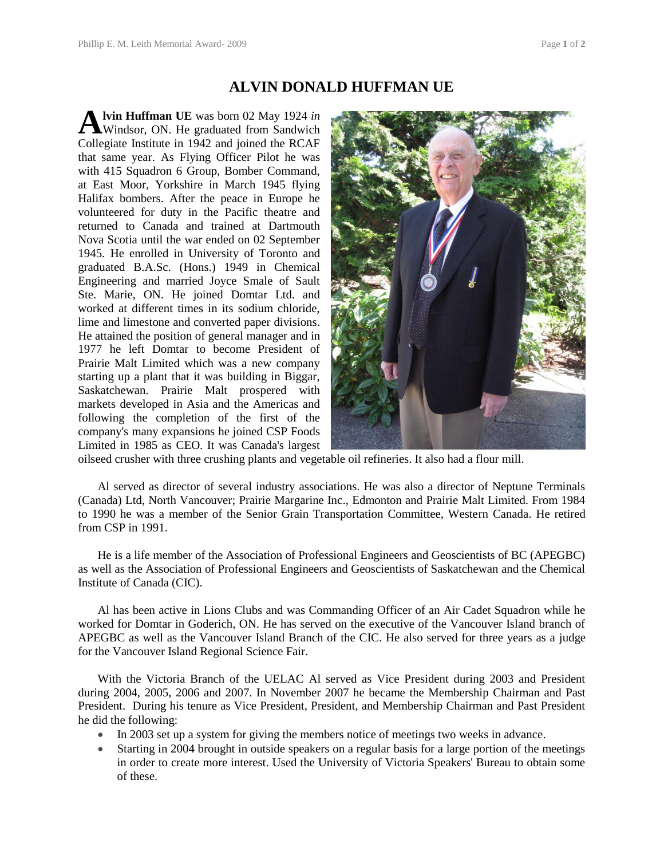## **ALVIN DONALD HUFFMAN UE**

**lvin Huffman UE** was born 02 May 1924 *in*  A lvin Huffman UE was born 02 May 1924 in<br>Windsor, ON. He graduated from Sandwich Collegiate Institute in 1942 and joined the RCAF that same year. As Flying Officer Pilot he was with 415 Squadron 6 Group, Bomber Command, at East Moor, Yorkshire in March 1945 flying Halifax bombers. After the peace in Europe he volunteered for duty in the Pacific theatre and returned to Canada and trained at Dartmouth Nova Scotia until the war ended on 02 September 1945. He enrolled in University of Toronto and graduated B.A.Sc. (Hons.) 1949 in Chemical Engineering and married Joyce Smale of Sault Ste. Marie, ON. He joined Domtar Ltd. and worked at different times in its sodium chloride, lime and limestone and converted paper divisions. He attained the position of general manager and in 1977 he left Domtar to become President of Prairie Malt Limited which was a new company starting up a plant that it was building in Biggar, Saskatchewan. Prairie Malt prospered with markets developed in Asia and the Americas and following the completion of the first of the company's many expansions he joined CSP Foods Limited in 1985 as CEO. It was Canada's largest



oilseed crusher with three crushing plants and vegetable oil refineries. It also had a flour mill.

Al served as director of several industry associations. He was also a director of Neptune Terminals (Canada) Ltd, North Vancouver; Prairie Margarine Inc., Edmonton and Prairie Malt Limited. From 1984 to 1990 he was a member of the Senior Grain Transportation Committee, Western Canada. He retired from CSP in 1991.

He is a life member of the Association of Professional Engineers and Geoscientists of BC (APEGBC) as well as the Association of Professional Engineers and Geoscientists of Saskatchewan and the Chemical Institute of Canada (CIC).

Al has been active in Lions Clubs and was Commanding Officer of an Air Cadet Squadron while he worked for Domtar in Goderich, ON. He has served on the executive of the Vancouver Island branch of APEGBC as well as the Vancouver Island Branch of the CIC. He also served for three years as a judge for the Vancouver Island Regional Science Fair.

With the Victoria Branch of the UELAC Al served as Vice President during 2003 and President during 2004, 2005, 2006 and 2007. In November 2007 he became the Membership Chairman and Past President. During his tenure as Vice President, President, and Membership Chairman and Past President he did the following:

- In 2003 set up a system for giving the members notice of meetings two weeks in advance.
- Starting in 2004 brought in outside speakers on a regular basis for a large portion of the meetings in order to create more interest. Used the University of Victoria Speakers' Bureau to obtain some of these.